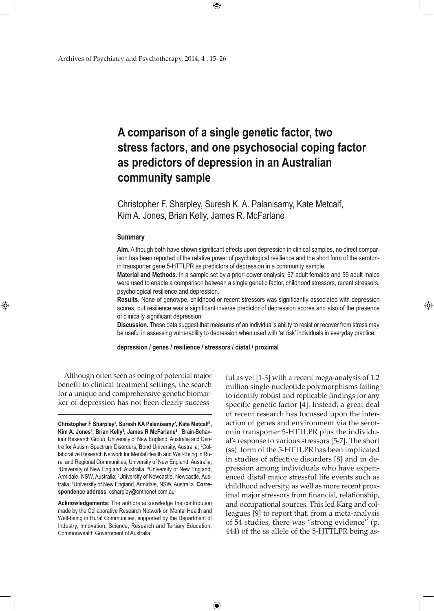# **A comparison of a single genetic factor, two stress factors, and one psychosocial coping factor as predictors of depression in an Australian community sample**

Christopher F. Sharpley, Suresh K. A. Palanisamy, Kate Metcalf, Kim A. Jones, Brian Kelly, James R. McFarlane

 $\bigoplus$ 

## **Summary**

⊕

**Aim**. Although both have shown significant effects upon depression in clinical samples, no direct comparison has been reported of the relative power of psychological resilience and the short form of the serotonin transporter gene 5-HTTLPR as predictors of depression in a community sample.

**Material and Methods**. In a sample set by a priori power analysis, 67 adult females and 59 adult males were used to enable a comparison between a single genetic factor, childhood stressors, recent stressors, psychological resilience and depression.

**Results**. None of genotype, childhood or recent stressors was significantly associated with depression scores, but resilience was a significant inverse predictor of depression scores and also of the presence of clinically significant depression.

**Discussion.** These data suggest that measures of an individual's ability to resist or recover from stress may be useful in assessing vulnerability to depression when used with 'at risk' individuals in everyday practice.

**depression / genes / resilience / stressors / distal / proximal**

 $\bigoplus$ 

Although often seen as being of potential major benefit to clinical treatment settings, the search for a unique and comprehensive genetic biomarker of depression has not been clearly success-

**Christopher F Sharpley<sup>1</sup> , Suresh KA Palanisamy<sup>2</sup> , Kate Metcalf<sup>3</sup> , Kim A. Jones<sup>4</sup>, Brian Kelly<sup>5</sup>, James R McFarlane<sup>6</sup>: <sup>1</sup>Brain-Behav**iour Research Group, University of New England, Australia and Centre for Autism Spectrum Disorders, Bond University, Australia; <sup>2</sup>Collaborative Research Network for Mental Health and Well-Being in Rural and Regional Communities, University of New England, Australia, 3 University of New England, Australia; 4 University of New England, Armidale, NSW, Australia; <sup>5</sup>University of Newcastle, Newcastle, Australia, <sup>6</sup> University of New England, Armidale, NSW, Australia. **Correspondence address**: csharpley@onthenet.com.au

**Acknowledgements**: The authors acknowledge the contribution made by the Collaborative Research Network on Mental Health and Well-being in Rural Communities, supported by the Department of Industry, Innovation, Science, Research and Tertiary Education, Commonwealth Government of Australia.

ful as yet [1-3] with a recent mega-analysis of 1.2 million single-nucleotide polymorphisms failing to identify robust and replicable findings for any specific genetic factor [4]. Instead, a great deal of recent research has focussed upon the interaction of genes and environment via the serotonin transporter 5-HTTLPR plus the individual's response to various stressors [5-7]. The short (ss) form of the 5-HTTLPR has been implicated in studies of affective disorders [8] and in depression among individuals who have experienced distal major stressful life events such as childhood adversity, as well as more recent proximal major stressors from financial, relationship, and occupational sources. This led Karg and colleagues [9] to report that, from a meta-analysis of 54 studies, there was "strong evidence" (p. 444) of the ss allele of the 5-HTTLPR being as-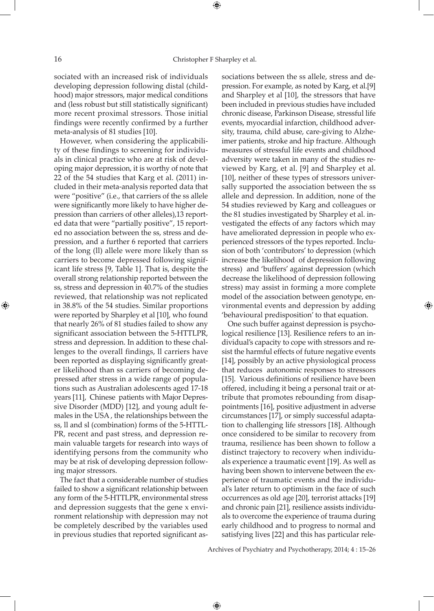sociated with an increased risk of individuals developing depression following distal (childhood) major stressors, major medical conditions and (less robust but still statistically significant) more recent proximal stressors. Those initial findings were recently confirmed by a further meta-analysis of 81 studies [10].

However, when considering the applicability of these findings to screening for individuals in clinical practice who are at risk of developing major depression, it is worthy of note that 22 of the 54 studies that Karg et al. (2011) included in their meta-analysis reported data that were "positive" (i.e., that carriers of the ss allele were significantly more likely to have higher depression than carriers of other alleles),13 reported data that were "partially positive", 15 reported no association between the ss, stress and depression, and a further 6 reported that carriers of the long (ll) allele were more likely than ss carriers to become depressed following significant life stress [9, Table 1]. That is, despite the overall strong relationship reported between the ss, stress and depression in 40.7% of the studies reviewed, that relationship was not replicated in 38.8% of the 54 studies. Similar proportions were reported by Sharpley et al [10], who found that nearly 26% of 81 studies failed to show any significant association between the 5-HTTLPR, stress and depression. In addition to these challenges to the overall findings, ll carriers have been reported as displaying significantly greater likelihood than ss carriers of becoming depressed after stress in a wide range of populations such as Australian adolescents aged 17-18 years [11], Chinese patients with Major Depressive Disorder (MDD) [12], and young adult females in the USA , the relationships between the ss, ll and sl (combination) forms of the 5-HTTL-PR, recent and past stress, and depression remain valuable targets for research into ways of identifying persons from the community who may be at risk of developing depression following major stressors.

The fact that a considerable number of studies failed to show a significant relationship between any form of the 5-HTTLPR, environmental stress and depression suggests that the gene x environment relationship with depression may not be completely described by the variables used in previous studies that reported significant associations between the ss allele, stress and depression. For example, as noted by Karg, et al.[9] and Sharpley et al [10], the stressors that have been included in previous studies have included chronic disease, Parkinson Disease, stressful life events, myocardial infarction, childhood adversity, trauma, child abuse, care-giving to Alzheimer patients, stroke and hip fracture. Although measures of stressful life events and childhood adversity were taken in many of the studies reviewed by Karg, et al. [9] and Sharpley et al. [10], neither of these types of stressors universally supported the association between the ss allele and depression. In addition, none of the 54 studies reviewed by Karg and colleagues or the 81 studies investigated by Sharpley et al. investigated the effects of any factors which may have ameliorated depression in people who experienced stressors of the types reported. Inclusion of both 'contributors' to depression (which increase the likelihood of depression following stress) and 'buffers' against depression (which decrease the likelihood of depression following stress) may assist in forming a more complete model of the association between genotype, environmental events and depression by adding 'behavioural predisposition' to that equation.

⊕

One such buffer against depression is psychological resilience [13]. Resilience refers to an individual's capacity to cope with stressors and resist the harmful effects of future negative events [14], possibly by an active physiological process that reduces autonomic responses to stressors [15]. Various definitions of resilience have been offered, including it being a personal trait or attribute that promotes rebounding from disappointments [16], positive adjustment in adverse circumstances [17], or simply successful adaptation to challenging life stressors [18]. Although once considered to be similar to recovery from trauma, resilience has been shown to follow a distinct trajectory to recovery when individuals experience a traumatic event [19]. As well as having been shown to intervene between the experience of traumatic events and the individual's later return to optimism in the face of such occurrences as old age [20], terrorist attacks [19] and chronic pain [21], resilience assists individuals to overcome the experience of trauma during early childhood and to progress to normal and satisfying lives [22] and this has particular rele-

Archives of Psychiatry and Psychotherapy, 2014; 4 : 15–26

 $\bigoplus$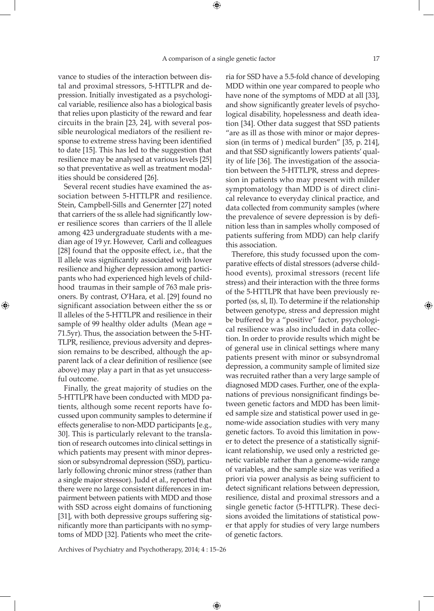vance to studies of the interaction between distal and proximal stressors, 5-HTTLPR and depression. Initially investigated as a psychological variable, resilience also has a biological basis that relies upon plasticity of the reward and fear circuits in the brain [23, 24], with several possible neurological mediators of the resilient response to extreme stress having been identified to date [15]. This has led to the suggestion that resilience may be analysed at various levels [25] so that preventative as well as treatment modalities should be considered [26].

Several recent studies have examined the association between 5-HTTLPR and resilience. Stein, Campbell-Sills and Genernter [27] noted that carriers of the ss allele had significantly lower resilience scores than carriers of the ll allele among 423 undergraduate students with a median age of 19 yr. However, Carli and colleagues [28] found that the opposite effect, i.e., that the ll allele was significantly associated with lower resilience and higher depression among participants who had experienced high levels of childhood traumas in their sample of 763 male prisoners. By contrast, O'Hara, et al. [29] found no significant association between either the ss or ll alleles of the 5-HTTLPR and resilience in their sample of 99 healthy older adults (Mean age = 71.5yr). Thus, the association between the 5-HT-TLPR, resilience, previous adversity and depression remains to be described, although the apparent lack of a clear definition of resilience (see above) may play a part in that as yet unsuccessful outcome.

⊕

Finally, the great majority of studies on the 5-HTTLPR have been conducted with MDD patients, although some recent reports have focussed upon community samples to determine if effects generalise to non-MDD participants [e.g., 30]. This is particularly relevant to the translation of research outcomes into clinical settings in which patients may present with minor depression or subsyndromal depression (SSD), particularly following chronic minor stress (rather than a single major stressor). Judd et al., reported that there were no large consistent differences in impairment between patients with MDD and those with SSD across eight domains of functioning [31], with both depressive groups suffering significantly more than participants with no symptoms of MDD [32]. Patients who meet the criteria for SSD have a 5.5-fold chance of developing MDD within one year compared to people who have none of the symptoms of MDD at all [33], and show significantly greater levels of psychological disability, hopelessness and death ideation [34]. Other data suggest that SSD patients "are as ill as those with minor or major depression (in terms of ) medical burden" [35, p. 214], and that SSD significantly lowers patients' quality of life [36]. The investigation of the association between the 5-HTTLPR, stress and depression in patients who may present with milder symptomatology than MDD is of direct clinical relevance to everyday clinical practice, and data collected from community samples (where the prevalence of severe depression is by definition less than in samples wholly composed of patients suffering from MDD) can help clarify this association.

Therefore, this study focussed upon the comparative effects of distal stressors (adverse childhood events), proximal stressors (recent life stress) and their interaction with the three forms of the 5-HTTLPR that have been previously reported (ss, sl, ll). To determine if the relationship between genotype, stress and depression might be buffered by a "positive" factor, psychological resilience was also included in data collection. In order to provide results which might be of general use in clinical settings where many patients present with minor or subsyndromal depression, a community sample of limited size was recruited rather than a very large sample of diagnosed MDD cases. Further, one of the explanations of previous nonsignificant findings between genetic factors and MDD has been limited sample size and statistical power used in genome-wide association studies with very many genetic factors. To avoid this limitation in power to detect the presence of a statistically significant relationship, we used only a restricted genetic variable rather than a genome-wide range of variables, and the sample size was verified a priori via power analysis as being sufficient to detect significant relations between depression, resilience, distal and proximal stressors and a single genetic factor (5-HTTLPR). These decisions avoided the limitations of statistical power that apply for studies of very large numbers of genetic factors.

Archives of Psychiatry and Psychotherapy, 2014; 4 : 15–26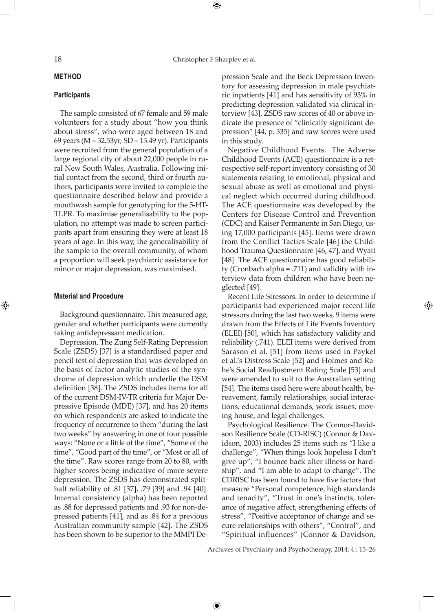## 18 Christopher F Sharpley et al.

⊕

## **Method**

## **Participants**

The sample consisted of 67 female and 59 male volunteers for a study about "how you think about stress", who were aged between 18 and 69 years (M = 32.53yr, SD = 13.49 yr). Participants were recruited from the general population of a large regional city of about 22,000 people in rural New South Wales, Australia. Following initial contact from the second, third or fourth authors, participants were invited to complete the questionnaire described below and provide a mouthwash sample for genotyping for the 5-HT-TLPR. To maximise generalisability to the population, no attempt was made to screen participants apart from ensuring they were at least 18 years of age. In this way, the generalisability of the sample to the overall community, of whom a proportion will seek psychiatric assistance for minor or major depression, was maximised.

#### **Material and Procedure**

⊕

Background questionnaire. This measured age, gender and whether participants were currently taking antidepressant medication.

Depression. The Zung Self-Rating Depression Scale (ZSDS) [37] is a standardised paper and pencil test of depression that was developed on the basis of factor analytic studies of the syndrome of depression which underlie the DSM definition [38]. The ZSDS includes items for all of the current DSM-IV-TR criteria for Major Depressive Episode (MDE) [37], and has 20 items on which respondents are asked to indicate the frequency of occurrence to them "during the last two weeks" by answering in one of four possible ways: "None or a little of the time", "Some of the time", "Good part of the time", or "Most or all of the time". Raw scores range from 20 to 80, with higher scores being indicative of more severe depression. The ZSDS has demonstrated splithalf reliability of .81 [37], .79 [39] and .94 [40]. Internal consistency (alpha) has been reported as .88 for depressed patients and .93 for non-depressed patients [41], and as .84 for a previous Australian community sample [42]. The ZSDS has been shown to be superior to the MMPI Depression Scale and the Beck Depression Inventory for assessing depression in male psychiatric inpatients [41] and has sensitivity of 93% in predicting depression validated via clinical interview [43]. ZSDS raw scores of 40 or above indicate the presence of "clinically significant depression" [44, p. 335] and raw scores were used in this study.

Negative Childhood Events. The Adverse Childhood Events (ACE) questionnaire is a retrospective self-report inventory consisting of 30 statements relating to emotional, physical and sexual abuse as well as emotional and physical neglect which occurred during childhood. The ACE questionnaire was developed by the Centers for Disease Control and Prevention (CDC) and Kaiser Permanente in San Diego, using 17,000 participants [45]. Items were drawn from the Conflict Tactics Scale [46] the Childhood Trauma Questionnaire [46, 47], and Wyatt [48] The ACE questionnaire has good reliability (Cronbach alpha = .711) and validity with interview data from children who have been neglected [49].

Recent Life Stressors. In order to determine if participants had experienced major recent life stressors during the last two weeks, 9 items were drawn from the Effects of Life Events Inventory (ELEI) [50], which has satisfactory validity and reliability (.741). ELEI items were derived from Sarason et al. [51] from items used in Paykel et al.'s Distress Scale [52] and Holmes and Rahe's Social Readjustment Rating Scale [53] and were amended to suit to the Australian setting [54]. The items used here were about health, bereavement, family relationships, social interactions, educational demands, work issues, moving house, and legal challenges.

⊕

Psychological Resilience. The Connor-Davidson Resilience Scale (CD-RISC) (Connor & Davidson, 2003) includes 25 items such as "I like a challenge", "When things look hopeless I don't give up", "I bounce back after illness or hardship", and "I am able to adapt to change". The CDRISC has been found to have five factors that measure "Personal competence, high standards and tenacity", "Trust in one's instincts, tolerance of negative affect, strengthening effects of stress", "Positive acceptance of change and secure relationships with others", "Control", and "Spiritual influences" (Connor & Davidson,

Archives of Psychiatry and Psychotherapy, 2014; 4 : 15–26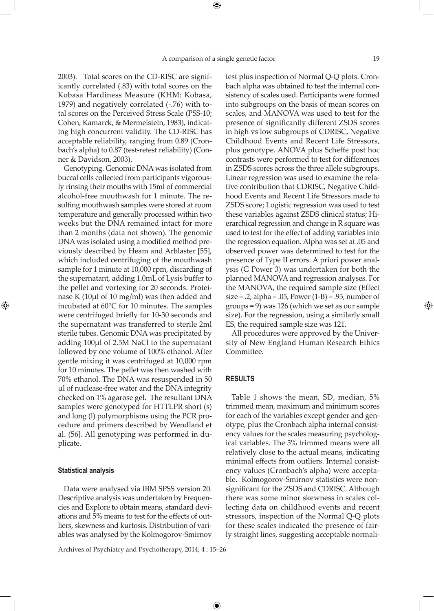⊕

2003). Total scores on the CD-RISC are significantly correlated (.83) with total scores on the Kobasa Hardiness Measure (KHM: Kobasa, 1979) and negatively correlated (-.76) with total scores on the Perceived Stress Scale (PSS-10; Cohen, Kamarck, & Mermelstein, 1983), indicating high concurrent validity. The CD-RISC has acceptable reliability, ranging from 0.89 (Cronbach's alpha) to 0.87 (test-retest reliability) (Conner & Davidson, 2003).

Genotyping. Genomic DNA was isolated from buccal cells collected from participants vigorously rinsing their mouths with 15ml of commercial alcohol-free mouthwash for 1 minute. The resulting mouthwash samples were stored at room temperature and generally processed within two weeks but the DNA remained intact for more than 2 months (data not shown). The genomic DNA was isolated using a modified method previously described by Heam and Arblaster [55], which included centrifuging of the mouthwash sample for 1 minute at 10,000 rpm, discarding of the supernatant, adding 1.0mL of Lysis buffer to the pellet and vortexing for 20 seconds. Proteinase K (10µl of 10 mg/ml) was then added and incubated at 60°C for 10 minutes. The samples were centrifuged briefly for 10-30 seconds and the supernatant was transferred to sterile 2ml sterile tubes. Genomic DNA was precipitated by adding 100µl of 2.5M NaCl to the supernatant followed by one volume of 100% ethanol. After gentle mixing it was centrifuged at 10,000 rpm for 10 minutes. The pellet was then washed with 70% ethanol. The DNA was resuspended in 50 µl of nuclease-free water and the DNA integrity checked on 1% agarose gel. The resultant DNA samples were genotyped for HTTLPR short (s) and long (l) polymorphisms using the PCR procedure and primers described by Wendland et al. (56]. All genotyping was performed in duplicate.

#### **Statistical analysis**

⊕

Data were analysed via IBM SPSS version 20. Descriptive analysis was undertaken by Frequencies and Explore to obtain means, standard deviations and 5% means to test for the effects of outliers, skewness and kurtosis. Distribution of variables was analysed by the Kolmogorov-Smirnov

Archives of Psychiatry and Psychotherapy, 2014; 4 : 15–26

test plus inspection of Normal Q-Q plots. Cronbach alpha was obtained to test the internal consistency of scales used. Participants were formed into subgroups on the basis of mean scores on scales, and MANOVA was used to test for the presence of significantly different ZSDS scores in high vs low subgroups of CDRISC, Negative Childhood Events and Recent Life Stressors, plus genotype. ANOVA plus Scheffe post hoc contrasts were performed to test for differences in ZSDS scores across the three allele subgroups. Linear regression was used to examine the relative contribution that CDRISC, Negative Childhood Events and Recent Life Stressors made to ZSDS score; Logistic regression was used to test these variables against ZSDS clinical status; Hierarchical regression and change in R square was used to test for the effect of adding variables into the regression equation. Alpha was set at .05 and observed power was determined to test for the presence of Type II errors. A priori power analysis (G Power 3) was undertaken for both the planned MANOVA and regression analyses. For the MANOVA, the required sample size (Effect  $size = .2$ , alpha = .05, Power  $(1-B) = .95$ , number of groups = 9) was 126 (which we set as our sample size). For the regression, using a similarly small ES, the required sample size was 121.

All procedures were approved by the University of New England Human Research Ethics Committee.

#### **Results**

 $\bigoplus$ 

Table 1 shows the mean, SD, median, 5% trimmed mean, maximum and minimum scores for each of the variables except gender and genotype, plus the Cronbach alpha internal consistency values for the scales measuring psychological variables. The 5% trimmed means were all relatively close to the actual means, indicating minimal effects from outliers. Internal consistency values (Cronbach's alpha) were acceptable. Kolmogorov-Smirnov statistics were nonsignificant for the ZSDS and CDRISC. Although there was some minor skewness in scales collecting data on childhood events and recent stressors, inspection of the Normal Q-Q plots for these scales indicated the presence of fairly straight lines, suggesting acceptable normali↔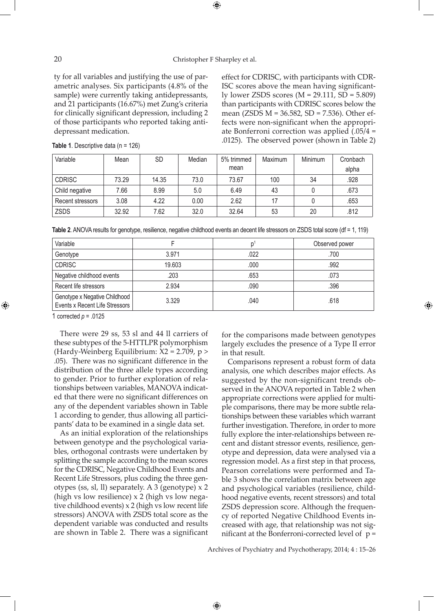### 20 Christopher F Sharpley et al.

⊕

ty for all variables and justifying the use of parametric analyses. Six participants (4.8% of the sample) were currently taking antidepressants, and 21 participants (16.67%) met Zung's criteria for clinically significant depression, including 2 of those participants who reported taking antidepressant medication.

effect for CDRISC, with participants with CDR-ISC scores above the mean having significantly lower ZSDS scores (M = 29.111, SD = 5.809) than participants with CDRISC scores below the mean (ZSDS M = 36.582, SD = 7.536). Other effects were non-significant when the appropriate Bonferroni correction was applied (.05/4 = .0125). The observed power (shown in Table 2)

| Variable         | Mean  | <b>SD</b> | Median | Maximum<br>5% trimmed |     | Minimum | Cronbach |
|------------------|-------|-----------|--------|-----------------------|-----|---------|----------|
|                  |       |           |        | mean                  |     |         | alpha    |
| <b>CDRISC</b>    | 73.29 | 14.35     | 73.0   | 73.67                 | 100 |         | .928     |
| Child negative   | 7.66  | 8.99      | 5.0    | 6.49                  | 43  |         | .673     |
| Recent stressors | 3.08  | 4.22      | 0.00   | 2.62                  | 17  |         | .653     |
| ZSDS             | 32.92 | 7.62      | 32.0   | 32.64                 | 53  | 20      | .812     |

**Table 1**. Descriptive data (n = 126)

**Table 2**. ANOVA results for genotype, resilience, negative childhood events an decent life stressors on ZSDS total score (df = 1, 119)

| Variable                                                        |        | n    | Observed power |
|-----------------------------------------------------------------|--------|------|----------------|
| Genotype                                                        | 3.971  | .022 | .700           |
| <b>CDRISC</b>                                                   | 19.603 | .000 | .992           |
| Negative childhood events                                       | .203   | .653 | .073           |
| Recent life stressors                                           | 2.934  | .090 | .396           |
| Genotype x Negative Childhood<br>Events x Recent Life Stressors | 3.329  | .040 | .618           |

 $\bigoplus$ 

1 corrected *p* = .0125

⊕

There were 29 ss, 53 sl and 44 ll carriers of these subtypes of the 5-HTTLPR polymorphism (Hardy-Weinberg Equilibrium: X2 = 2.709, p > .05). There was no significant difference in the distribution of the three allele types according to gender. Prior to further exploration of relationships between variables, MANOVA indicated that there were no significant differences on any of the dependent variables shown in Table 1 according to gender, thus allowing all participants' data to be examined in a single data set.

As an initial exploration of the relationships between genotype and the psychological variables, orthogonal contrasts were undertaken by splitting the sample according to the mean scores for the CDRISC, Negative Childhood Events and Recent Life Stressors, plus coding the three genotypes (ss, sl, ll) separately. A 3 (genotype) x 2 (high vs low resilience) x 2 (high vs low negative childhood events) x 2 (high vs low recent life stressors) ANOVA with ZSDS total score as the dependent variable was conducted and results are shown in Table 2. There was a significant for the comparisons made between genotypes largely excludes the presence of a Type II error in that result.

⊕

Comparisons represent a robust form of data analysis, one which describes major effects. As suggested by the non-significant trends observed in the ANOVA reported in Table 2 when appropriate corrections were applied for multiple comparisons, there may be more subtle relationships between these variables which warrant further investigation. Therefore, in order to more fully explore the inter-relationships between recent and distant stressor events, resilience, genotype and depression, data were analysed via a regression model. As a first step in that process, Pearson correlations were performed and Table 3 shows the correlation matrix between age and psychological variables (resilience, childhood negative events, recent stressors) and total ZSDS depression score. Although the frequency of reported Negative Childhood Events increased with age, that relationship was not significant at the Bonferroni-corrected level of  $p =$ 

Archives of Psychiatry and Psychotherapy, 2014; 4 : 15–26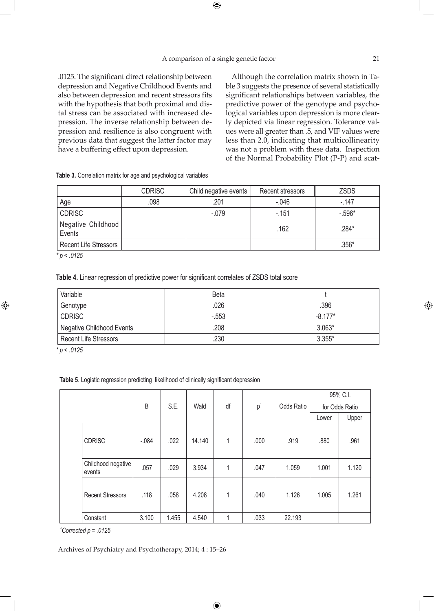$\bigoplus$ 

.0125. The significant direct relationship between depression and Negative Childhood Events and also between depression and recent stressors fits with the hypothesis that both proximal and distal stress can be associated with increased depression. The inverse relationship between depression and resilience is also congruent with previous data that suggest the latter factor may have a buffering effect upon depression.

Although the correlation matrix shown in Table 3 suggests the presence of several statistically significant relationships between variables, the predictive power of the genotype and psychological variables upon depression is more clearly depicted via linear regression. Tolerance values were all greater than .5, and VIF values were less than 2.0, indicating that multicollinearity was not a problem with these data. Inspection of the Normal Probability Plot (P-P) and scat-

**Table 3.** Correlation matrix for age and psychological variables

|                              | <b>CDRISC</b> | Recent stressors<br>Child negative events |          | <b>ZSDS</b> |  |
|------------------------------|---------------|-------------------------------------------|----------|-------------|--|
| Age                          | .098          | .201                                      | $-0.046$ | $-147$      |  |
| <b>CDRISC</b>                |               | $-.079$                                   | $-151$   | $-0.596*$   |  |
| Negative Childhood<br>Events |               |                                           | .162     | .284*       |  |
| <b>Recent Life Stressors</b> |               |                                           |          | $.356*$     |  |
| $\mathbf{r}$ $\mathbf{r}$    |               |                                           |          |             |  |

*\* p < .0125*

**Table 4.** Linear regression of predictive power for significant correlates of ZSDS total score

| Variable                         | Beta   |           |
|----------------------------------|--------|-----------|
| Genotype                         | .026   | .396      |
| <b>CDRISC</b>                    | $-553$ | $-8.177*$ |
| <b>Negative Childhood Events</b> | .208   | $3.063*$  |
| <b>Recent Life Stressors</b>     | 230    | $3.355*$  |

*\* p < .0125*

⊕

**Table 5**. Logistic regression predicting likelihood of clinically significant depression

|  |                              |         | S.E.  | Wald   | df | p <sup>1</sup> | Odds Ratio | 95% C.I.       |       |
|--|------------------------------|---------|-------|--------|----|----------------|------------|----------------|-------|
|  |                              | B       |       |        |    |                |            | for Odds Ratio |       |
|  |                              |         |       |        |    |                |            | Lower          | Upper |
|  | <b>CDRISC</b>                | $-.084$ | .022  | 14.140 | 1  | .000           | .919       | .880           | .961  |
|  | Childhood negative<br>events | .057    | .029  | 3.934  | 1  | .047           | 1.059      | 1.001          | 1.120 |
|  | <b>Recent Stressors</b>      | .118    | .058  | 4.208  | 1  | .040           | 1.126      | 1.005          | 1.261 |
|  | Constant                     | 3.100   | 1.455 | 4.540  |    | .033           | 22.193     |                |       |

 $\bigoplus$ 

*1 Corrected p = .0125*

Archives of Psychiatry and Psychotherapy, 2014; 4 : 15–26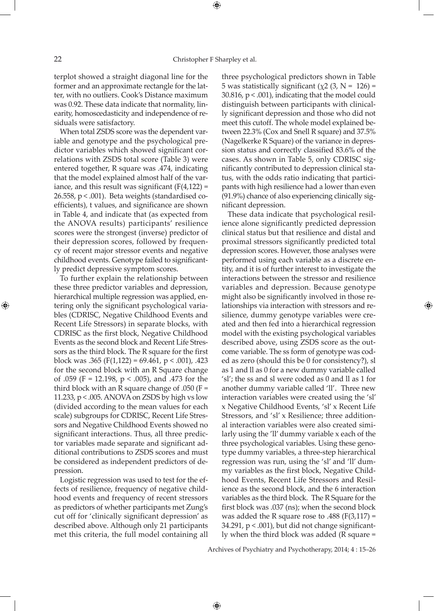⊕

terplot showed a straight diagonal line for the former and an approximate rectangle for the latter, with no outliers. Cook's Distance maximum was 0.92. These data indicate that normality, linearity, homoscedasticity and independence of residuals were satisfactory.

When total ZSDS score was the dependent variable and genotype and the psychological predictor variables which showed significant correlations with ZSDS total score (Table 3) were entered together, R square was .474, indicating that the model explained almost half of the variance, and this result was significant  $(F(4,122) =$ 26.558, p < .001). Beta weights (standardised coefficients), t values, and significance are shown in Table 4, and indicate that (as expected from the ANOVA results) participants' resilience scores were the strongest (inverse) predictor of their depression scores, followed by frequency of recent major stressor events and negative childhood events. Genotype failed to significantly predict depressive symptom scores.

To further explain the relationship between these three predictor variables and depression, hierarchical multiple regression was applied, entering only the significant psychological variables (CDRISC, Negative Childhood Events and Recent Life Stressors) in separate blocks, with CDRISC as the first block, Negative Childhood Events as the second block and Recent Life Stressors as the third block. The R square for the first block was .365 (F(1,122) = 69.461,  $p < .001$ ), .423 for the second block with an R Square change of .059 (F = 12.198,  $p < .005$ ), and .473 for the third block with an R square change of  $.050$  (F = 11.233, p < .005. ANOVA on ZSDS by high vs low (divided according to the mean values for each scale) subgroups for CDRISC, Recent Life Stressors and Negative Childhood Events showed no significant interactions. Thus, all three predictor variables made separate and significant additional contributions to ZSDS scores and must be considered as independent predictors of depression.

Logistic regression was used to test for the effects of resilience, frequency of negative childhood events and frequency of recent stressors as predictors of whether participants met Zung's cut off for 'clinically significant depression' as described above. Although only 21 participants met this criteria, the full model containing all

three psychological predictors shown in Table 5 was statistically significant ( $χ$ 2 (3, N = 126) =  $30.816$ ,  $p < .001$ ), indicating that the model could distinguish between participants with clinically significant depression and those who did not meet this cutoff. The whole model explained between 22.3% (Cox and Snell R square) and 37.5% (Nagelkerke R Square) of the variance in depression status and correctly classified 83.6% of the cases. As shown in Table 5, only CDRISC significantly contributed to depression clinical status, with the odds ratio indicating that participants with high resilience had a lower than even (91.9%) chance of also experiencing clinically significant depression.

These data indicate that psychological resilience alone significantly predicted depression clinical status but that resilience and distal and proximal stressors significantly predicted total depression scores. However, those analyses were performed using each variable as a discrete entity, and it is of further interest to investigate the interactions between the stressor and resilience variables and depression. Because genotype might also be significantly involved in those relationships via interaction with stressors and resilience, dummy genotype variables were created and then fed into a hierarchical regression model with the existing psychological variables described above, using ZSDS score as the outcome variable. The ss form of genotype was coded as zero (should this be 0 for consistency?), sl as 1 and ll as 0 for a new dummy variable called 'sl'; the ss and sl were coded as 0 and ll as 1 for another dummy variable called 'll'. Three new interaction variables were created using the 'sl' x Negative Childhood Events, 'sl' x Recent Life Stressors, and 'sl' x Resilience; three additional interaction variables were also created similarly using the 'll' dummy variable x each of the three psychological variables. Using these genotype dummy variables, a three-step hierarchical regression was run, using the 'sl' and 'll' dummy variables as the first block, Negative Childhood Events, Recent Life Stressors and Resilience as the second block, and the 6 interaction variables as the third block. The R Square for the first block was .037 (ns); when the second block was added the R square rose to .488 ( $F(3,117) =$ 34.291, p < .001), but did not change significantly when the third block was added (R square =

↔

Archives of Psychiatry and Psychotherapy, 2014; 4 : 15–26

 $\bigoplus$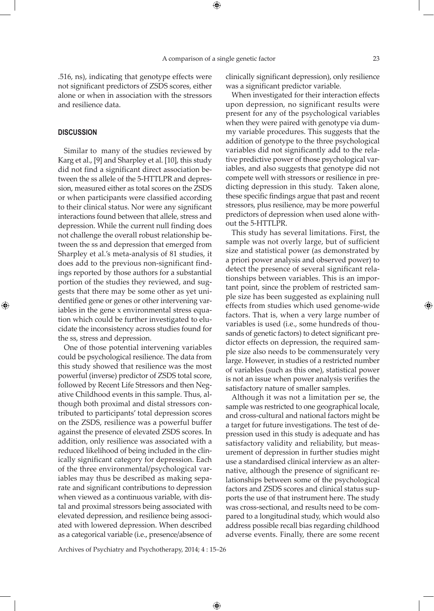.516, ns), indicating that genotype effects were not significant predictors of ZSDS scores, either alone or when in association with the stressors and resilience data.

## **Discussion**

⊕

Similar to many of the studies reviewed by Karg et al., [9] and Sharpley et al. [10], this study did not find a significant direct association between the ss allele of the 5-HTTLPR and depression, measured either as total scores on the ZSDS or when participants were classified according to their clinical status. Nor were any significant interactions found between that allele, stress and depression. While the current null finding does not challenge the overall robust relationship between the ss and depression that emerged from Sharpley et al.'s meta-analysis of 81 studies, it does add to the previous non-significant findings reported by those authors for a substantial portion of the studies they reviewed, and suggests that there may be some other as yet unidentified gene or genes or other intervening variables in the gene x environmental stress equation which could be further investigated to elucidate the inconsistency across studies found for the ss, stress and depression.

One of those potential intervening variables could be psychological resilience. The data from this study showed that resilience was the most powerful (inverse) predictor of ZSDS total score, followed by Recent Life Stressors and then Negative Childhood events in this sample. Thus, although both proximal and distal stressors contributed to participants' total depression scores on the ZSDS, resilience was a powerful buffer against the presence of elevated ZSDS scores. In addition, only resilience was associated with a reduced likelihood of being included in the clinically significant category for depression. Each of the three environmental/psychological variables may thus be described as making separate and significant contributions to depression when viewed as a continuous variable, with distal and proximal stressors being associated with elevated depression, and resilience being associated with lowered depression. When described as a categorical variable (i.e., presence/absence of

clinically significant depression), only resilience was a significant predictor variable.

When investigated for their interaction effects upon depression, no significant results were present for any of the psychological variables when they were paired with genotype via dummy variable procedures. This suggests that the addition of genotype to the three psychological variables did not significantly add to the relative predictive power of those psychological variables, and also suggests that genotype did not compete well with stressors or resilience in predicting depression in this study. Taken alone, these specific findings argue that past and recent stressors, plus resilience, may be more powerful predictors of depression when used alone without the 5-HTTLPR.

This study has several limitations. First, the sample was not overly large, but of sufficient size and statistical power (as demonstrated by a priori power analysis and observed power) to detect the presence of several significant relationships between variables. This is an important point, since the problem of restricted sample size has been suggested as explaining null effects from studies which used genome-wide factors. That is, when a very large number of variables is used (i.e., some hundreds of thousands of genetic factors) to detect significant predictor effects on depression, the required sample size also needs to be commensurately very large. However, in studies of a restricted number of variables (such as this one), statistical power is not an issue when power analysis verifies the satisfactory nature of smaller samples.

Although it was not a limitation per se, the sample was restricted to one geographical locale, and cross-cultural and national factors might be a target for future investigations. The test of depression used in this study is adequate and has satisfactory validity and reliability, but measurement of depression in further studies might use a standardised clinical interview as an alternative, although the presence of significant relationships between some of the psychological factors and ZSDS scores and clinical status supports the use of that instrument here. The study was cross-sectional, and results need to be compared to a longitudinal study, which would also address possible recall bias regarding childhood adverse events. Finally, there are some recent

Archives of Psychiatry and Psychotherapy, 2014; 4 : 15–26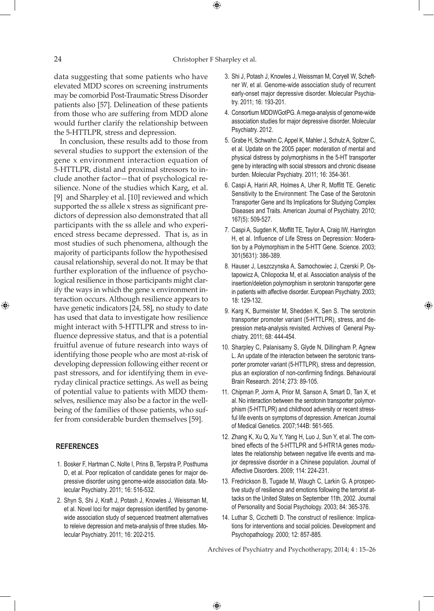$\bigoplus$ 

data suggesting that some patients who have elevated MDD scores on screening instruments may be comorbid Post-Traumatic Stress Disorder patients also [57]. Delineation of these patients from those who are suffering from MDD alone would further clarify the relationship between the 5-HTTLPR, stress and depression.

In conclusion, these results add to those from several studies to support the extension of the gene x environment interaction equation of 5-HTTLPR, distal and proximal stressors to include another factor—that of psychological resilience. None of the studies which Karg, et al. [9] and Sharpley et al. [10] reviewed and which supported the ss allele x stress as significant predictors of depression also demonstrated that all participants with the ss allele and who experienced stress became depressed. That is, as in most studies of such phenomena, although the majority of participants follow the hypothesised causal relationship, several do not. It may be that further exploration of the influence of psychological resilience in those participants might clarify the ways in which the gene x environment interaction occurs. Although resilience appears to have genetic indicators [24, 58], no study to date has used that data to investigate how resilience might interact with 5-HTTLPR and stress to influence depressive status, and that is a potential fruitful avenue of future research into ways of identifying those people who are most at-risk of developing depression following either recent or past stressors, and for identifying them in everyday clinical practice settings. As well as being of potential value to patients with MDD themselves, resilience may also be a factor in the wellbeing of the families of those patients, who suffer from considerable burden themselves [59].

## **References**

⊕

- 1. Bosker F, Hartman C, Nolte I, Prins B, Terpstra P, Posthuma D, et al. Poor replication of candidate genes for major depressive disorder using genome-wide association data. Molecular Psychiatry. 2011; 16: 516-532.
- 2. Shyn S, Shi J, Kraft J, Potash J, Knowles J, Weissman M, et al. Novel loci for major depression identified by genomewide association study of sequenced treatment alternatives to releive depression and meta-analysis of three studies. Molecular Psychiatry. 2011; 16: 202-215.
- 3. Shi J, Potash J, Knowles J, Weissman M, Coryell W, Scheftner W, et al. Genome-wide association study of recurrent early-onset major depressive disorder. Molecular Psychiatry. 2011; 16: 193-201.
- 4. Consortium MDDWGotPG. A mega-analysis of genome-wide association studies for major depressive disorder. Molecular Psychiatry. 2012.
- 5. Grabe H, Schwahn C, Appel K, Mahler J, Schulz A, Spitzer C, et al. Update on the 2005 paper: moderation of mental and physical distress by polymorphisms in the 5-HT transporter gene by interacting with social stressors and chronic disease burden. Molecular Psychiatry. 2011; 16: 354-361.
- 6. Caspi A, Hariri AR, Holmes A, Uher R, Moffitt TE. Genetic Sensitivity to the Environment: The Case of the Serotonin Transporter Gene and Its Implications for Studying Complex Diseases and Traits. American Journal of Psychiatry. 2010; 167(5): 509-527.
- 7. Caspi A, Sugden K, Moffitt TE, Taylor A, Craig IW, Harrington H, et al. Influence of Life Stress on Depression: Moderation by a Polymorphism in the 5-HTT Gene. Science. 2003; 301(5631): 386-389.
- 8. Hauser J, Leszczynska A, Samochowiec J, Czerski P, Ostapowicz A, Chliopocka M, et al. Association analysis of the insertion/deletion polymorphism in serotonin transporter gene in patients with affective disorder. European Psychiatry. 2003; 18: 129-132.
- 9. Karg K, Burmeister M, Shedden K, Sen S. The serotonin transporter promoter variant (5-HTTLPR), stress, and depression meta-analysis revisited. Archives of General Psychiatry. 2011; 68: 444-454.

⊕

- 10. Sharpley C, Palanisamy S, Glyde N, Dillingham P, Agnew L. An update of the interaction between the serotonic transporter promoter variant (5-HTTLPR), stress and depression, plus an exploration of non-confirming findings. Behavioural Brain Research. 2014; 273: 89-105.
- 11. Chipman P, Jorm A, Prior M, Sanson A, Smart D, Tan X, et al. No interaction between the serotonin transporter polymorphism (5-HTTLPR) and childhood adversity or recent stressful life events on symptoms of depression. American Journal of Medical Genetics. 2007;144B: 561-565.
- 12. Zhang K, Xu Q, Xu Y, Yang H, Luo J, Sun Y, et al. The combined effects of the 5-HTTLPR and 5-HTR1A genes modulates the relationship between negative life events and major depressive disorder in a Chinese population. Journal of Affective Disorders. 2009; 114: 224-231.
- 13. Fredrickson B, Tugade M, Waugh C, Larkin G. A prospective study of resilience and emotions following the terrorist attacks on the United States on September 11th, 2002. Journal of Personality and Social Psychology. 2003; 84: 365-376.
- 14. Luthar S, Cicchetti D. The construct of resilience: Implications for interventions and social policies. Development and Psychopathology. 2000; 12: 857-885.

Archives of Psychiatry and Psychotherapy, 2014; 4 : 15–26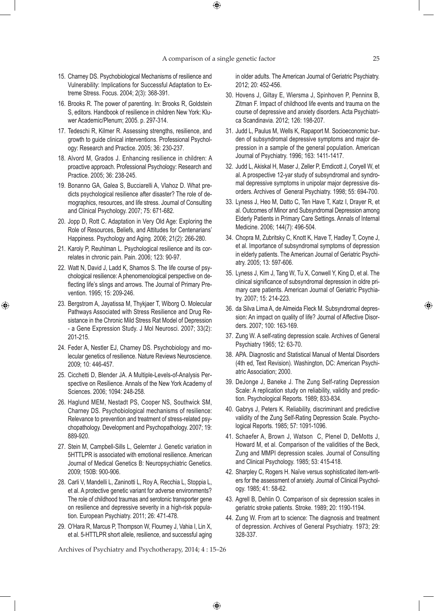$\bigoplus$ 

- 15. Charney DS. Psychobiological Mechanisms of resilience and Vulnerability: Implications for Successful Adaptation to Extreme Stress. Focus. 2004; 2(3): 368-391.
- 16. Brooks R. The power of parenting. In: Brooks R, Goldstein S, editors. Handbook of resilience in children New York: Kluwer Academic/Plenum; 2005. p. 297-314.
- 17. Tedeschi R, Kilmer R. Assessing strengths, resilience, and growth to guide clinical interventions. Professional Psychology: Research and Practice. 2005; 36: 230-237.
- 18. Alvord M, Grados J. Enhancing resilience in children: A proactive approach. Professional Psychology: Research and Practice. 2005; 36: 238-245.
- 19. Bonanno GA, Galea S, Bucciarelli A, Vlahoz D. What predicts psychological resilience after disaster? The role of demographics, resources, and life stress. Journal of Consulting and Clinical Psychology. 2007; 75: 671-682.
- 20. Jopp D, Rott C. Adaptation in Very Old Age: Exploring the Role of Resources, Beliefs, and Attitudes for Centenarians' Happiness. Psychology and Aging. 2006; 21(2): 266-280.
- 21. Karoly P, Reuhlman L. Psychological resilience and its correlates in chronic pain. Pain. 2006; 123: 90-97.
- 22. Watt N, David J, Ladd K, Shamos S. The life course of psychological resilience: A phenomenological perspective on deflecting life's slings and arrows. The Journal of Primary Prevention. 1995; 15: 209-246.
- 23. Bergstrom A, Jayatissa M, Thykjaer T, Wiborg O. Molecular Pathways Associated with Stress Resilience and Drug Resistance in the Chronic Mild Stress Rat Model of Depression - a Gene Expression Study. J Mol Neurosci. 2007; 33(2): 201-215.

⊕

- 24. Feder A, Nestler EJ, Charney DS. Psychobiology and molecular genetics of resilience. Nature Reviews Neuroscience. 2009; 10: 446-457.
- 25. Cicchetti D, Blender JA. A Multiple-Levels-of-Analysis Perspective on Resilience. Annals of the New York Academy of Sciences. 2006; 1094: 248-258.
- 26. Haglund MEM, Nestadt PS, Cooper NS, Southwick SM, Charney DS. Psychobiological mechanisms of resilience: Relevance to prevention and treatment of stress-related psychopathology. Development and Psychopathology. 2007; 19: 889-920.
- 27. Stein M, Campbell-Sills L, Gelernter J. Genetic variation in 5HTTLPR is associated with emotional resilience. American Journal of Medical Genetics B: Neuropsychiatric Genetics. 2009; 150B: 900-906.
- 28. Carli V, Mandelli L, Zaninotti L, Roy A, Recchia L, Stoppia L, et al. A protective genetic variant for adverse environments? The role of childhood traumas and serotonic transporter gene on resilience and depressive severity in a high-risk population. European Psychiatry. 2011; 26: 471-478.
- 29. O'Hara R, Marcus P, Thompson W, Flourney J, Vahia I, Lin X, et al. 5-HTTLPR short allele, resilience, and successful aging

Archives of Psychiatry and Psychotherapy, 2014; 4 : 15–26

 $\bigoplus$ 

in older adults. The American Journal of Geriatric Psychiatry. 2012; 20: 452-456.

- 30. Hovens J, Giltay E, Wiersma J, Spinhoven P, Penninx B, Zitman F. Impact of childhood life events and trauma on the course of depressive and anxiety disorders. Acta Psychiatrica Scandinavia. 2012; 126: 198-207.
- 31. Judd L, Paulus M, Wells K, Rapaport M. Socioeconomic burden of subsyndromal depressive symptoms and major depression in a sample of the general population. American Journal of Psychiatry. 1996; 163: 1411-1417.
- 32. Judd L, Akiskal H, Maser J, Zeller P, Emdicott J, Coryell W, et al. A prospective 12-yar study of subsyndromal and syndromal depressive symptoms in unipolar major depressive disorders. Archives of General Psychiatry. 1998; 55: 694-700.
- 33. Lyness J, Heo M, Datto C, Ten Have T, Katz I, Drayer R, et al. Outcomes of Minor and Subsyndromal Depression among Elderly Patients in Primary Care Settings. Annals of Internal Medicine. 2006; 144(7): 496-504.
- 34. Chopra M, Zubritsky C, Knott K, Have T, Hadley T, Coyne J, et al. Importance of subsyndromal symptoms of depression in elderly patients. The American Journal of Geriatric Psychiatry. 2005; 13: 597-606.
- 35. Lyness J, Kim J, Tang W, Tu X, Conwell Y, King D, et al. The clinical significance of subsyndromal depression in oldre primary care patients. American Journal of Geriatric Psychiatry. 2007; 15: 214-223.
- 36. da Silva Lima A, de Almeida Fleck M. Subsyndromal depression: An impact on quality of life? Journal of Affective Disorders. 2007; 100: 163-169.
- 37. Zung W. A self-rating depression scale. Archives of General Psychiatry 1965; 12: 63-70.
- 38. APA. Diagnostic and Statistical Manual of Mental Disorders (4th ed, Text Revision). Washington, DC: American Psychiatric Association; 2000.
- 39. DeJonge J, Baneke J. The Zung Self-rating Depression Scale: A replication study on reliability, validity and prediction. Psychological Reports. 1989; 833-834.
- 40. Gabrys J, Peters K. Reliability, discriminant and predictive validity of the Zung Self-Rating Depression Scale. Psychological Reports. 1985; 57: 1091-1096.
- 41. Schaefer A, Brown J, Watson C, Plenel D, DeMotts J, Howard M, et al. Comparison of the validities of the Beck, Zung and MMPI depression scales. Journal of Consulting and Clinical Psychology. 1985; 53: 415-418.
- 42. Sharpley C, Rogers H. Naïve versus sophisticated item-writers for the assessment of anxiety. Journal of Clinical Psychology. 1985; 41: 58-62.
- 43. Agrell B, Dehlin O. Comparison of six depression scales in geriatric stroke patients. Stroke. 1989; 20: 1190-1194.
- 44. Zung W. From art to science: The diagnosis and treatment of depression. Archives of General Psychiatry. 1973; 29: 328-337.